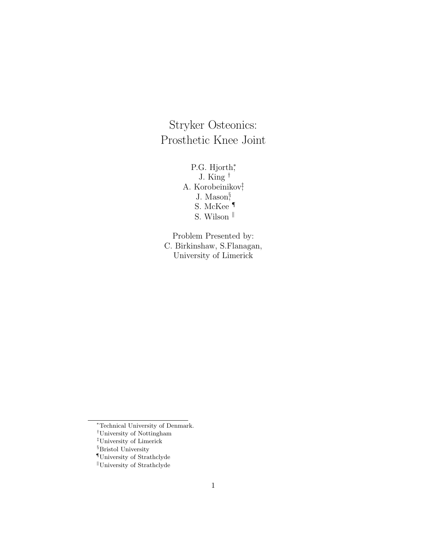Stryker Osteonics: Prosthetic Knee Joint

> P.G. Hjorth\* J. King † A. Korobeinikov‡ , J. Mason§ , S. McKee ¶ S. Wilson  $^{\parallel}$

Problem Presented by: C. Birkinshaw, S.Flanagan, University of Limerick

<sup>∗</sup>Technical University of Denmark.

<sup>†</sup>University of Nottingham

<sup>‡</sup>University of Limerick

<sup>§</sup>Bristol University

 $\P$ University of Strathclyde

 $\mathbb{I}$ University of Strathclyde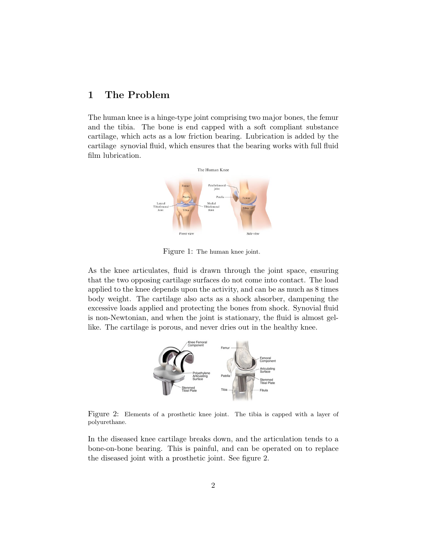# 1 The Problem

The human knee is a hinge-type joint comprising two major bones, the femur and the tibia. The bone is end capped with a soft compliant substance cartilage, which acts as a low friction bearing. Lubrication is added by the cartilage synovial fluid, which ensures that the bearing works with full fluid film lubrication.



Figure 1: The human knee joint.

As the knee articulates, fluid is drawn through the joint space, ensuring that the two opposing cartilage surfaces do not come into contact. The load applied to the knee depends upon the activity, and can be as much as 8 times body weight. The cartilage also acts as a shock absorber, dampening the excessive loads applied and protecting the bones from shock. Synovial fluid is non-Newtonian, and when the joint is stationary, the fluid is almost gellike. The cartilage is porous, and never dries out in the healthy knee.



Figure 2: Elements of a prosthetic knee joint. The tibia is capped with a layer of polyurethane.

In the diseased knee cartilage breaks down, and the articulation tends to a bone-on-bone bearing. This is painful, and can be operated on to replace the diseased joint with a prosthetic joint. See figure 2.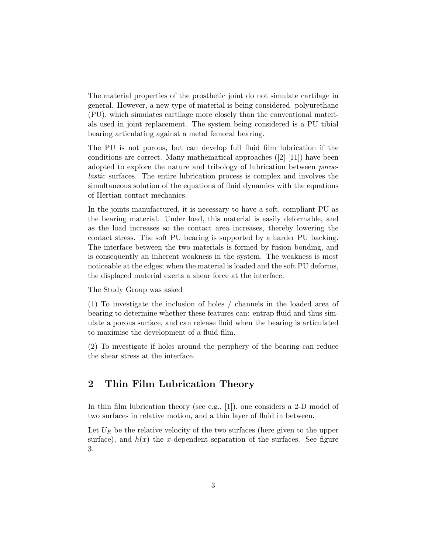The material properties of the prosthetic joint do not simulate cartilage in general. However, a new type of material is being considered polyurethane (PU), which simulates cartilage more closely than the conventional materials used in joint replacement. The system being considered is a PU tibial bearing articulating against a metal femoral bearing.

The PU is not porous, but can develop full fluid film lubrication if the conditions are correct. Many mathematical approaches  $([2]-[11])$  have been adopted to explore the nature and tribology of lubrication between poroelastic surfaces. The entire lubrication process is complex and involves the simultaneous solution of the equations of fluid dynamics with the equations of Hertian contact mechanics.

In the joints manufactured, it is necessary to have a soft, compliant PU as the bearing material. Under load, this material is easily deformable, and as the load increases so the contact area increases, thereby lowering the contact stress. The soft PU bearing is supported by a harder PU backing. The interface between the two materials is formed by fusion bonding, and is consequently an inherent weakness in the system. The weakness is most noticeable at the edges; when the material is loaded and the soft PU deforms, the displaced material exerts a shear force at the interface.

The Study Group was asked

(1) To investigate the inclusion of holes / channels in the loaded area of bearing to determine whether these features can: entrap fluid and thus simulate a porous surface, and can release fluid when the bearing is articulated to maximise the development of a fluid film.

(2) To investigate if holes around the periphery of the bearing can reduce the shear stress at the interface.

#### 2 Thin Film Lubrication Theory

In thin film lubrication theory (see e.g., [1]), one considers a 2-D model of two surfaces in relative motion, and a thin layer of fluid in between.

Let  $U_R$  be the relative velocity of the two surfaces (here given to the upper surface), and  $h(x)$  the x-dependent separation of the surfaces. See figure 3.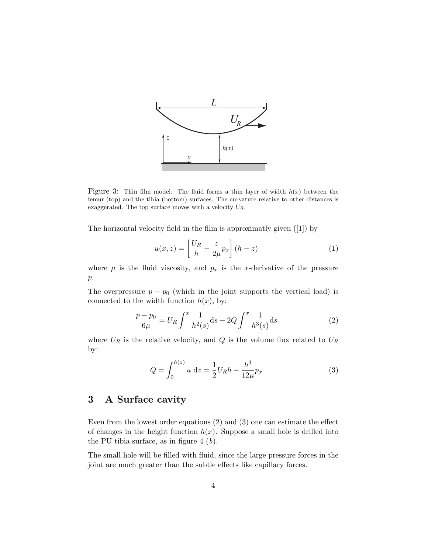

Figure 3: Thin film model. The fluid forms a thin layer of width  $h(x)$  between the femur (top) and the tibia (bottom) surfaces. The curvature relative to other distances is exaggerated. The top surface moves with a velocity  $U_R$ .

The horizontal velocity field in the film is approximatly given ([1]) by

$$
u(x,z) = \left[\frac{U_R}{h} - \frac{z}{2\mu}p_x\right](h-z)
$$
 (1)

where  $\mu$  is the fluid viscosity, and  $p_x$  is the x-derivative of the pressure p.

The overpressure  $p - p_0$  (which in the joint supports the vertical load) is connected to the width function  $h(x)$ , by:

$$
\frac{p - p_0}{6\mu} = U_R \int^x \frac{1}{h^2(s)} ds - 2Q \int^x \frac{1}{h^3(s)} ds \tag{2}
$$

where  $U_R$  is the relative velocity, and  $Q$  is the volume flux related to  $U_R$ by:

$$
Q = \int_0^{h(z)} u \, dz = \frac{1}{2} U_R h - \frac{h^3}{12\mu} p_x \tag{3}
$$

## 3 A Surface cavity

Even from the lowest order equations (2) and (3) one can estimate the effect of changes in the height function  $h(x)$ . Suppose a small hole is drilled into the PU tibia surface, as in figure  $4(b)$ .

The small hole will be filled with fluid, since the large pressure forces in the joint are much greater than the subtle effects like capillary forces.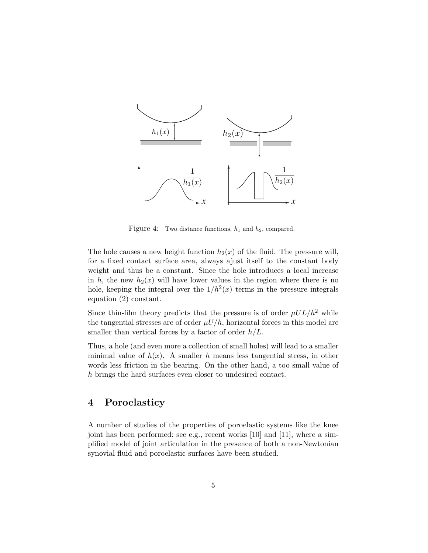

Figure 4: Two distance functions,  $h_1$  and  $h_2$ , compared.

The hole causes a new height function  $h_2(x)$  of the fluid. The pressure will, for a fixed contact surface area, always ajust itself to the constant body weight and thus be a constant. Since the hole introduces a local increase in h, the new  $h_2(x)$  will have lower values in the region where there is no hole, keeping the integral over the  $1/h^2(x)$  terms in the pressure integrals equation (2) constant.

Since thin-film theory predicts that the pressure is of order  $\mu UL/h^2$  while the tangential stresses are of order  $\mu U/h$ , horizontal forces in this model are smaller than vertical forces by a factor of order  $h/L$ .

Thus, a hole (and even more a collection of small holes) will lead to a smaller minimal value of  $h(x)$ . A smaller h means less tangential stress, in other words less friction in the bearing. On the other hand, a too small value of h brings the hard surfaces even closer to undesired contact.

### 4 Poroelasticy

A number of studies of the properties of poroelastic systems like the knee joint has been performed; see e.g., recent works [10] and [11], where a simplified model of joint articulation in the presence of both a non-Newtonian synovial fluid and poroelastic surfaces have been studied.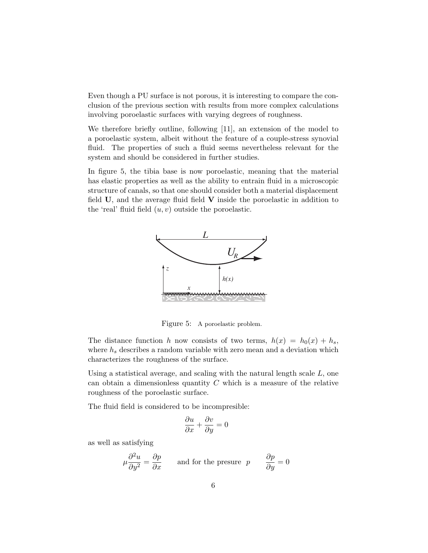Even though a PU surface is not porous, it is interesting to compare the conclusion of the previous section with results from more complex calculations involving poroelastic surfaces with varying degrees of roughness.

We therefore briefly outline, following [11], an extension of the model to a poroelastic system, albeit without the feature of a couple-stress synovial fluid. The properties of such a fluid seems nevertheless relevant for the system and should be considered in further studies.

In figure 5, the tibia base is now poroelastic, meaning that the material has elastic properties as well as the ability to entrain fluid in a microscopic structure of canals, so that one should consider both a material displacement field  $U$ , and the average fluid field  $V$  inside the poroelastic in addition to the 'real' fluid field  $(u, v)$  outside the poroelastic.



Figure 5: A poroelastic problem.

The distance function h now consists of two terms,  $h(x) = h_0(x) + h_s$ , where  $h_s$  describes a random variable with zero mean and a deviation which characterizes the roughness of the surface.

Using a statistical average, and scaling with the natural length scale L, one can obtain a dimensionless quantity  $C$  which is a measure of the relative roughness of the poroelastic surface.

The fluid field is considered to be incompresible:

$$
\frac{\partial u}{\partial x} + \frac{\partial v}{\partial y} = 0
$$

as well as satisfying

$$
\mu \frac{\partial^2 u}{\partial y^2} = \frac{\partial p}{\partial x}
$$
 and for the pressure  $p$   $\frac{\partial p}{\partial y} = 0$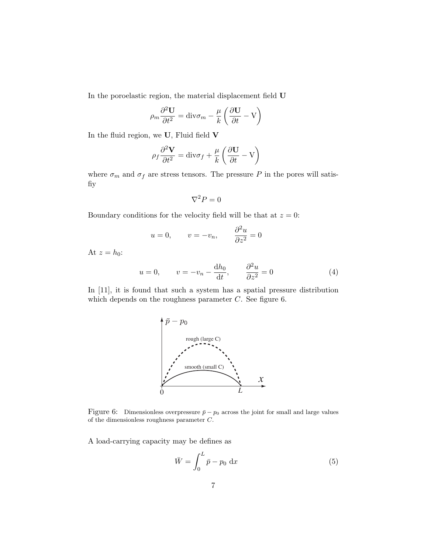In the poroelastic region, the material displacement field U

$$
\rho_m \frac{\partial^2 \mathbf{U}}{\partial t^2} = \text{div}\sigma_m - \frac{\mu}{k} \left( \frac{\partial \mathbf{U}}{\partial t} - \mathbf{V} \right)
$$

In the fluid region, we U, Fluid field V

$$
\rho_f \frac{\partial^2 \mathbf{V}}{\partial t^2} = \text{div}\sigma_f + \frac{\mu}{k} \left( \frac{\partial \mathbf{U}}{\partial t} - \mathbf{V} \right)
$$

where  $\sigma_m$  and  $\sigma_f$  are stress tensors. The pressure P in the pores will satisfiy

$$
\nabla^2 P = 0
$$

Boundary conditions for the velocity field will be that at  $z = 0$ :

$$
u = 0,
$$
  $v = -v_n,$   $\frac{\partial^2 u}{\partial z^2} = 0$ 

At  $z = h_0$ :

$$
u = 0, \qquad v = -v_n - \frac{\mathrm{d}h_0}{\mathrm{d}t}, \qquad \frac{\partial^2 u}{\partial z^2} = 0 \tag{4}
$$

In [11], it is found that such a system has a spatial pressure distribution which depends on the roughness parameter  $C$ . See figure 6.



Figure 6: Dimensionless overpressure  $\bar{p} - p_0$  across the joint for small and large values of the dimensionless roughness parameter C.

A load-carrying capacity may be defines as

$$
\bar{W} = \int_0^L \bar{p} - p_0 \, \mathrm{d}x \tag{5}
$$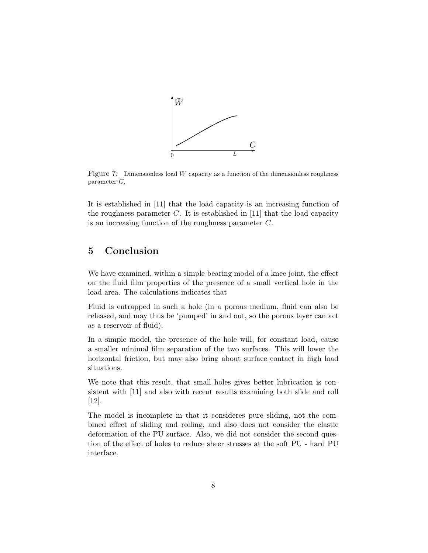

Figure 7: Dimensionless load  $W$  capacity as a function of the dimensionless roughness parameter C.

It is established in [11] that the load capacity is an increasing function of the roughness parameter  $C$ . It is established in [11] that the load capacity is an increasing function of the roughness parameter C.

## 5 Conclusion

We have examined, within a simple bearing model of a knee joint, the effect on the fluid film properties of the presence of a small vertical hole in the load area. The calculations indicates that

Fluid is entrapped in such a hole (in a porous medium, fluid can also be released, and may thus be 'pumped' in and out, so the porous layer can act as a reservoir of fluid).

In a simple model, the presence of the hole will, for constant load, cause a smaller minimal film separation of the two surfaces. This will lower the horizontal friction, but may also bring about surface contact in high load situations.

We note that this result, that small holes gives better lubrication is consistent with [11] and also with recent results examining both slide and roll [12].

The model is incomplete in that it consideres pure sliding, not the combined effect of sliding and rolling, and also does not consider the elastic deformation of the PU surface. Also, we did not consider the second question of the effect of holes to reduce sheer stresses at the soft PU - hard PU interface.